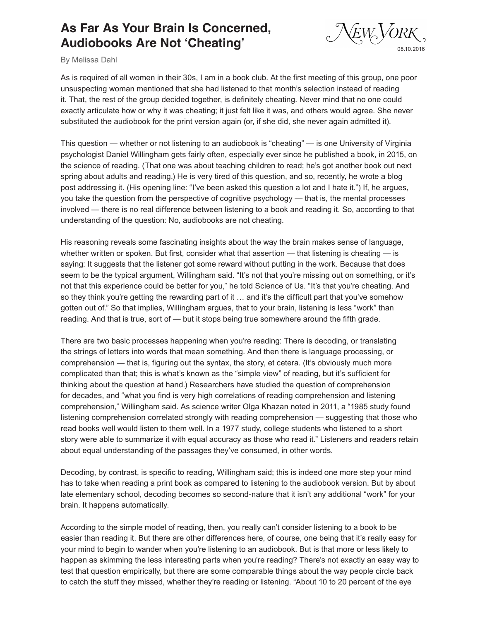## **As Far As Your Brain Is Concerned, Audiobooks Are Not 'Cheating'**



By Melissa Dahl

As is required of all women in their 30s, I am in a book club. At the first meeting of this group, one poor unsuspecting woman mentioned that she had listened to that month's selection instead of reading it. That, the rest of the group decided together, is definitely cheating. Never mind that no one could exactly articulate how or why it was cheating; it just felt like it was, and others would agree. She never substituted the audiobook for the print version again (or, if she did, she never again admitted it).

This question — whether or not listening to an audiobook is "cheating" — is one University of Virginia psychologist Daniel Willingham gets fairly often, especially ever since he published a book, in 2015, on the science of reading. (That one was about teaching children to read; he's got another book out next spring about adults and reading.) He is very tired of this question, and so, recently, he wrote a blog post addressing it. (His opening line: "I've been asked this question a lot and I hate it.") If, he argues, you take the question from the perspective of cognitive psychology — that is, the mental processes involved — there is no real difference between listening to a book and reading it. So, according to that understanding of the question: No, audiobooks are not cheating.

His reasoning reveals some fascinating insights about the way the brain makes sense of language, whether written or spoken. But first, consider what that assertion — that listening is cheating — is saying: It suggests that the listener got some reward without putting in the work. Because that does seem to be the typical argument, Willingham said. "It's not that you're missing out on something, or it's not that this experience could be better for you," he told Science of Us. "It's that you're cheating. And so they think you're getting the rewarding part of it … and it's the difficult part that you've somehow gotten out of." So that implies, Willingham argues, that to your brain, listening is less "work" than reading. And that is true, sort of — but it stops being true somewhere around the fifth grade.

There are two basic processes happening when you're reading: There is decoding, or translating the strings of letters into words that mean something. And then there is language processing, or comprehension — that is, figuring out the syntax, the story, et cetera. (It's obviously much more complicated than that; this is what's known as the "simple view" of reading, but it's sufficient for thinking about the question at hand.) Researchers have studied the question of comprehension for decades, and "what you find is very high correlations of reading comprehension and listening comprehension," Willingham said. As science writer Olga Khazan noted in 2011, a "1985 study found listening comprehension correlated strongly with reading comprehension — suggesting that those who read books well would listen to them well. In a 1977 study, college students who listened to a short story were able to summarize it with equal accuracy as those who read it." Listeners and readers retain about equal understanding of the passages they've consumed, in other words.

Decoding, by contrast, is specific to reading, Willingham said; this is indeed one more step your mind has to take when reading a print book as compared to listening to the audiobook version. But by about late elementary school, decoding becomes so second-nature that it isn't any additional "work" for your brain. It happens automatically.

According to the simple model of reading, then, you really can't consider listening to a book to be easier than reading it. But there are other differences here, of course, one being that it's really easy for your mind to begin to wander when you're listening to an audiobook. But is that more or less likely to happen as skimming the less interesting parts when you're reading? There's not exactly an easy way to test that question empirically, but there are some comparable things about the way people circle back to catch the stuff they missed, whether they're reading or listening. "About 10 to 20 percent of the eye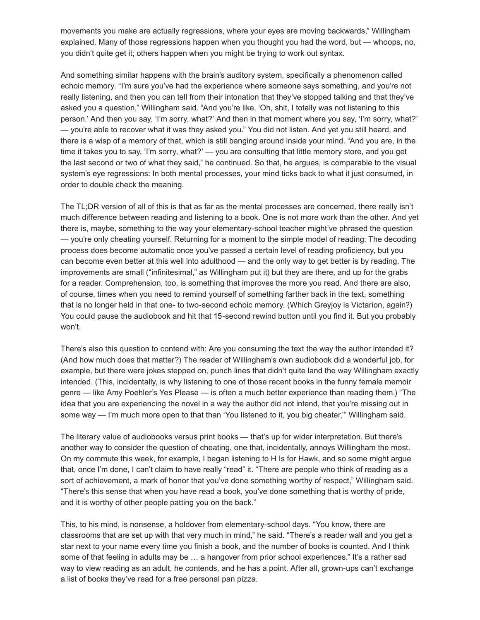movements you make are actually regressions, where your eyes are moving backwards," Willingham explained. Many of those regressions happen when you thought you had the word, but — whoops, no, you didn't quite get it; others happen when you might be trying to work out syntax.

And something similar happens with the brain's auditory system, specifically a phenomenon called echoic memory. "I'm sure you've had the experience where someone says something, and you're not really listening, and then you can tell from their intonation that they've stopped talking and that they've asked you a question," Willingham said. "And you're like, 'Oh, shit, I totally was not listening to this person.' And then you say, 'I'm sorry, what?' And then in that moment where you say, 'I'm sorry, what?' — you're able to recover what it was they asked you." You did not listen. And yet you still heard, and there is a wisp of a memory of that, which is still banging around inside your mind. "And you are, in the time it takes you to say, 'I'm sorry, what?' — you are consulting that little memory store, and you get the last second or two of what they said," he continued. So that, he argues, is comparable to the visual system's eye regressions: In both mental processes, your mind ticks back to what it just consumed, in order to double check the meaning.

The TL;DR version of all of this is that as far as the mental processes are concerned, there really isn't much difference between reading and listening to a book. One is not more work than the other. And yet there is, maybe, something to the way your elementary-school teacher might've phrased the question — you're only cheating yourself. Returning for a moment to the simple model of reading: The decoding process does become automatic once you've passed a certain level of reading proficiency, but you can become even better at this well into adulthood — and the only way to get better is by reading. The improvements are small ("infinitesimal," as Willingham put it) but they are there, and up for the grabs for a reader. Comprehension, too, is something that improves the more you read. And there are also, of course, times when you need to remind yourself of something farther back in the text, something that is no longer held in that one- to two-second echoic memory. (Which Greyjoy is Victarion, again?) You could pause the audiobook and hit that 15-second rewind button until you find it. But you probably won't.

There's also this question to contend with: Are you consuming the text the way the author intended it? (And how much does that matter?) The reader of Willingham's own audiobook did a wonderful job, for example, but there were jokes stepped on, punch lines that didn't quite land the way Willingham exactly intended. (This, incidentally, is why listening to one of those recent books in the funny female memoir genre — like Amy Poehler's Yes Please — is often a much better experience than reading them.) "The idea that you are experiencing the novel in a way the author did not intend, that you're missing out in some way — I'm much more open to that than 'You listened to it, you big cheater,'" Willingham said.

The literary value of audiobooks versus print books — that's up for wider interpretation. But there's another way to consider the question of cheating, one that, incidentally, annoys Willingham the most. On my commute this week, for example, I began listening to H Is for Hawk, and so some might argue that, once I'm done, I can't claim to have really "read" it. "There are people who think of reading as a sort of achievement, a mark of honor that you've done something worthy of respect," Willingham said. "There's this sense that when you have read a book, you've done something that is worthy of pride, and it is worthy of other people patting you on the back."

This, to his mind, is nonsense, a holdover from elementary-school days. "You know, there are classrooms that are set up with that very much in mind," he said. "There's a reader wall and you get a star next to your name every time you finish a book, and the number of books is counted. And I think some of that feeling in adults may be ... a hangover from prior school experiences." It's a rather sad way to view reading as an adult, he contends, and he has a point. After all, grown-ups can't exchange a list of books they've read for a free personal pan pizza.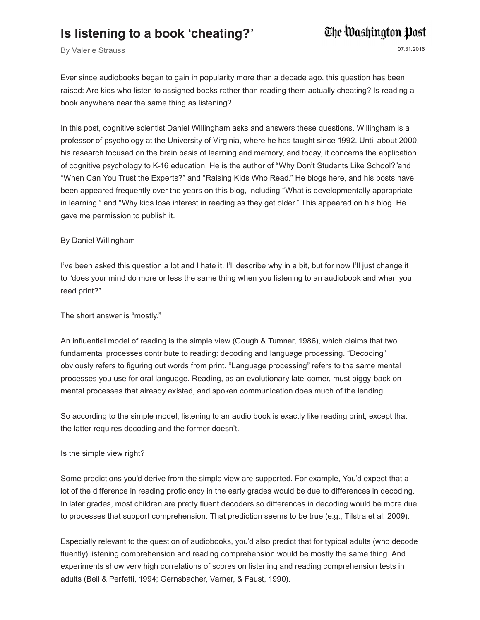### **Is listening to a book 'cheating?'**

# The Washington Post

By Valerie Strauss 07.31.2016

Ever since audiobooks began to gain in popularity more than a decade ago, this question has been raised: Are kids who listen to assigned books rather than reading them actually cheating? Is reading a book anywhere near the same thing as listening?

In this post, cognitive scientist Daniel Willingham asks and answers these questions. Willingham is a professor of psychology at the University of Virginia, where he has taught since 1992. Until about 2000, his research focused on the brain basis of learning and memory, and today, it concerns the application of cognitive psychology to K-16 education. He is the author of "Why Don't Students Like School?"and "When Can You Trust the Experts?" and "Raising Kids Who Read." He blogs here, and his posts have been appeared frequently over the years on this blog, including "What is developmentally appropriate in learning," and "Why kids lose interest in reading as they get older." This appeared on his blog. He gave me permission to publish it.

### By Daniel Willingham

I've been asked this question a lot and I hate it. I'll describe why in a bit, but for now I'll just change it to "does your mind do more or less the same thing when you listening to an audiobook and when you read print?"

The short answer is "mostly."

An influential model of reading is the simple view (Gough & Tumner, 1986), which claims that two fundamental processes contribute to reading: decoding and language processing. "Decoding" obviously refers to figuring out words from print. "Language processing" refers to the same mental processes you use for oral language. Reading, as an evolutionary late-comer, must piggy-back on mental processes that already existed, and spoken communication does much of the lending.

So according to the simple model, listening to an audio book is exactly like reading print, except that the latter requires decoding and the former doesn't.

#### Is the simple view right?

Some predictions you'd derive from the simple view are supported. For example, You'd expect that a lot of the difference in reading proficiency in the early grades would be due to differences in decoding. In later grades, most children are pretty fluent decoders so differences in decoding would be more due to processes that support comprehension. That prediction seems to be true (e.g., Tilstra et al, 2009).

Especially relevant to the question of audiobooks, you'd also predict that for typical adults (who decode fluently) listening comprehension and reading comprehension would be mostly the same thing. And experiments show very high correlations of scores on listening and reading comprehension tests in adults (Bell & Perfetti, 1994; Gernsbacher, Varner, & Faust, 1990).